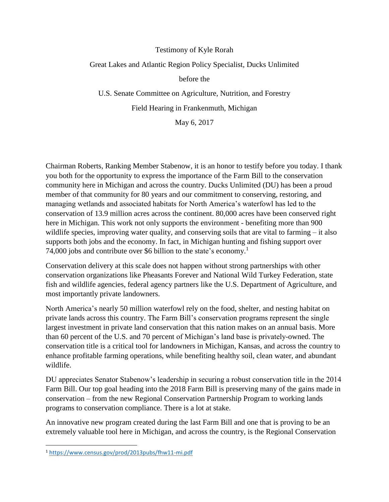## Testimony of Kyle Rorah

## Great Lakes and Atlantic Region Policy Specialist, Ducks Unlimited

before the

U.S. Senate Committee on Agriculture, Nutrition, and Forestry

Field Hearing in Frankenmuth, Michigan

May 6, 2017

Chairman Roberts, Ranking Member Stabenow, it is an honor to testify before you today. I thank you both for the opportunity to express the importance of the Farm Bill to the conservation community here in Michigan and across the country. Ducks Unlimited (DU) has been a proud member of that community for 80 years and our commitment to conserving, restoring, and managing wetlands and associated habitats for North America's waterfowl has led to the conservation of 13.9 million acres across the continent. 80,000 acres have been conserved right here in Michigan. This work not only supports the environment - benefiting more than 900 wildlife species, improving water quality, and conserving soils that are vital to farming – it also supports both jobs and the economy. In fact, in Michigan hunting and fishing support over 74,000 jobs and contribute over \$6 billion to the state's economy.<sup>1</sup>

Conservation delivery at this scale does not happen without strong partnerships with other conservation organizations like Pheasants Forever and National Wild Turkey Federation, state fish and wildlife agencies, federal agency partners like the U.S. Department of Agriculture, and most importantly private landowners.

North America's nearly 50 million waterfowl rely on the food, shelter, and nesting habitat on private lands across this country. The Farm Bill's conservation programs represent the single largest investment in private land conservation that this nation makes on an annual basis. More than 60 percent of the U.S. and 70 percent of Michigan's land base is privately-owned. The conservation title is a critical tool for landowners in Michigan, Kansas, and across the country to enhance profitable farming operations, while benefiting healthy soil, clean water, and abundant wildlife.

DU appreciates Senator Stabenow's leadership in securing a robust conservation title in the 2014 Farm Bill. Our top goal heading into the 2018 Farm Bill is preserving many of the gains made in conservation – from the new Regional Conservation Partnership Program to working lands programs to conservation compliance. There is a lot at stake.

An innovative new program created during the last Farm Bill and one that is proving to be an extremely valuable tool here in Michigan, and across the country, is the Regional Conservation

 $\overline{\phantom{a}}$ 

<sup>1</sup> <https://www.census.gov/prod/2013pubs/fhw11-mi.pdf>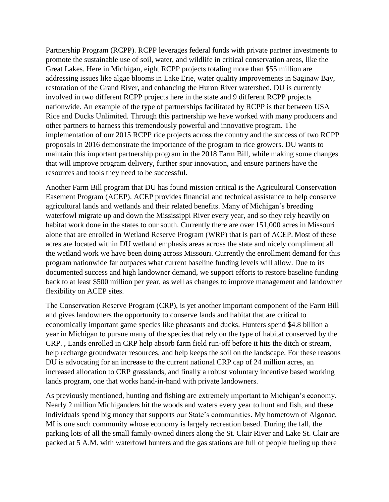Partnership Program (RCPP). RCPP leverages federal funds with private partner investments to promote the sustainable use of soil, water, and wildlife in critical conservation areas, like the Great Lakes. Here in Michigan, eight RCPP projects totaling more than \$55 million are addressing issues like algae blooms in Lake Erie, water quality improvements in Saginaw Bay, restoration of the Grand River, and enhancing the Huron River watershed. DU is currently involved in two different RCPP projects here in the state and 9 different RCPP projects nationwide. An example of the type of partnerships facilitated by RCPP is that between USA Rice and Ducks Unlimited. Through this partnership we have worked with many producers and other partners to harness this tremendously powerful and innovative program. The implementation of our 2015 RCPP rice projects across the country and the success of two RCPP proposals in 2016 demonstrate the importance of the program to rice growers. DU wants to maintain this important partnership program in the 2018 Farm Bill, while making some changes that will improve program delivery, further spur innovation, and ensure partners have the resources and tools they need to be successful.

Another Farm Bill program that DU has found mission critical is the Agricultural Conservation Easement Program (ACEP). ACEP provides financial and technical assistance to help conserve agricultural lands and wetlands and their related benefits. Many of Michigan's breeding waterfowl migrate up and down the Mississippi River every year, and so they rely heavily on habitat work done in the states to our south. Currently there are over 151,000 acres in Missouri alone that are enrolled in Wetland Reserve Program (WRP) that is part of ACEP. Most of these acres are located within DU wetland emphasis areas across the state and nicely compliment all the wetland work we have been doing across Missouri. Currently the enrollment demand for this program nationwide far outpaces what current baseline funding levels will allow. Due to its documented success and high landowner demand, we support efforts to restore baseline funding back to at least \$500 million per year, as well as changes to improve management and landowner flexibility on ACEP sites.

The Conservation Reserve Program (CRP), is yet another important component of the Farm Bill and gives landowners the opportunity to conserve lands and habitat that are critical to economically important game species like pheasants and ducks. Hunters spend \$4.8 billion a year in Michigan to pursue many of the species that rely on the type of habitat conserved by the CRP. , Lands enrolled in CRP help absorb farm field run-off before it hits the ditch or stream, help recharge groundwater resources, and help keeps the soil on the landscape. For these reasons DU is advocating for an increase to the current national CRP cap of 24 million acres, an increased allocation to CRP grasslands, and finally a robust voluntary incentive based working lands program, one that works hand-in-hand with private landowners.

As previously mentioned, hunting and fishing are extremely important to Michigan's economy. Nearly 2 million Michiganders hit the woods and waters every year to hunt and fish, and these individuals spend big money that supports our State's communities. My hometown of Algonac, MI is one such community whose economy is largely recreation based. During the fall, the parking lots of all the small family-owned diners along the St. Clair River and Lake St. Clair are packed at 5 A.M. with waterfowl hunters and the gas stations are full of people fueling up there